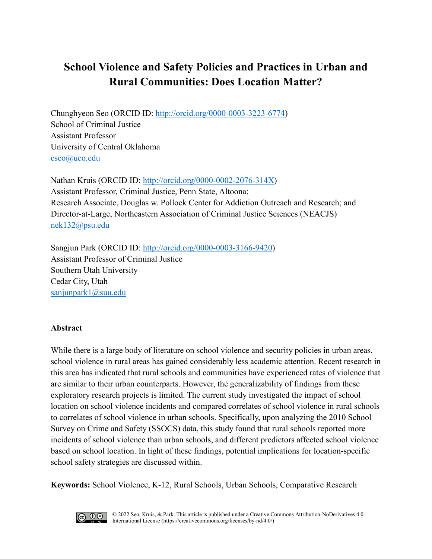# **School Violence and Safety Policies and Practices in Urban and Rural Communities: Does Location Matter?**

Chunghyeon Seo (ORCID ID: [http://orcid.org/0000-0003-3223-6774\)](http://orcid.org/0000-0003-3223-6774) School of Criminal Justice Assistant Professor University of Central Oklahoma [cseo@uco.edu](mailto:cseo@uco.edu)

Nathan Kruis (ORCID ID: [http://orcid.org/0000-0002-2076-314X\)](http://orcid.org/0000-0002-2076-314X) Assistant Professor, Criminal Justice, Penn State, Altoona; Research Associate, Douglas w. Pollock Center for Addiction Outreach and Research; and Director-at-Large, Northeastern Association of Criminal Justice Sciences (NEACJS) [nek132@psu.edu](mailto:nek132@psu.edu)

Sangjun Park (ORCID ID: <http://orcid.org/0000-0003-3166-9420>) Assistant Professor of Criminal Justice Southern Utah University Cedar City, Utah [sanjunpark1@suu.edu](mailto:sanjunpark1@suu.edu)

## **Abstract**

While there is a large body of literature on school violence and security policies in urban areas, school violence in rural areas has gained considerably less academic attention. Recent research in this area has indicated that rural schools and communities have experienced rates of violence that are similar to their urban counterparts. However, the generalizability of findings from these exploratory research projects is limited. The current study investigated the impact of school location on school violence incidents and compared correlates of school violence in rural schools to correlates of school violence in urban schools. Specifically, upon analyzing the 2010 School Survey on Crime and Safety (SSOCS) data, this study found that rural schools reported more incidents of school violence than urban schools, and different predictors affected school violence based on school location. In light of these findings, potential implications for location-specific school safety strategies are discussed within.

**Keywords:** School Violence, K-12, Rural Schools, Urban Schools, Comparative Research

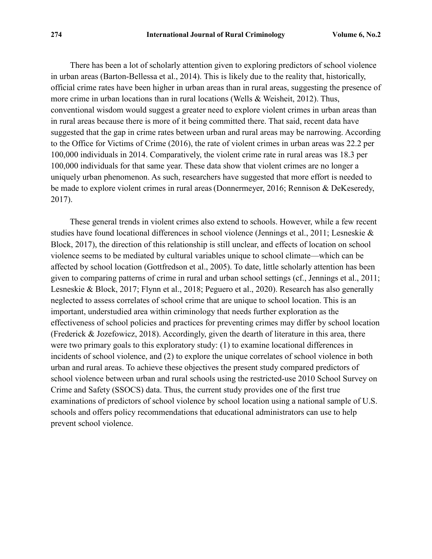There has been a lot of scholarly attention given to exploring predictors of school violence in urban areas (Barton-Bellessa et al., 2014). This is likely due to the reality that, historically, official crime rates have been higher in urban areas than in rural areas, suggesting the presence of more crime in urban locations than in rural locations (Wells & Weisheit, 2012). Thus, conventional wisdom would suggest a greater need to explore violent crimes in urban areas than in rural areas because there is more of it being committed there. That said, recent data have suggested that the gap in crime rates between urban and rural areas may be narrowing. According to the Office for Victims of Crime (2016), the rate of violent crimes in urban areas was 22.2 per 100,000 individuals in 2014. Comparatively, the violent crime rate in rural areas was 18.3 per 100,000 individuals for that same year. These data show that violent crimes are no longer a uniquely urban phenomenon. As such, researchers have suggested that more effort is needed to be made to explore violent crimes in rural areas (Donnermeyer, 2016; Rennison & DeKeseredy, 2017).

These general trends in violent crimes also extend to schools. However, while a few recent studies have found locational differences in school violence (Jennings et al., 2011; Lesneskie & Block, 2017), the direction of this relationship is still unclear, and effects of location on school violence seems to be mediated by cultural variables unique to school climate—which can be affected by school location (Gottfredson et al., 2005). To date, little scholarly attention has been given to comparing patterns of crime in rural and urban school settings (cf., Jennings et al., 2011; Lesneskie & Block, 2017; Flynn et al., 2018; Peguero et al., 2020). Research has also generally neglected to assess correlates of school crime that are unique to school location. This is an important, understudied area within criminology that needs further exploration as the effectiveness of school policies and practices for preventing crimes may differ by school location (Frederick & Jozefowicz, 2018). Accordingly, given the dearth of literature in this area, there were two primary goals to this exploratory study: (1) to examine locational differences in incidents of school violence, and (2) to explore the unique correlates of school violence in both urban and rural areas. To achieve these objectives the present study compared predictors of school violence between urban and rural schools using the restricted-use 2010 School Survey on Crime and Safety (SSOCS) data. Thus, the current study provides one of the first true examinations of predictors of school violence by school location using a national sample of U.S. schools and offers policy recommendations that educational administrators can use to help prevent school violence.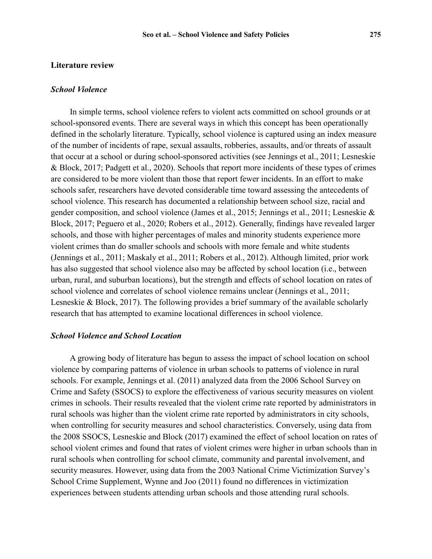#### **Literature review**

#### *School Violence*

In simple terms, school violence refers to violent acts committed on school grounds or at school-sponsored events. There are several ways in which this concept has been operationally defined in the scholarly literature. Typically, school violence is captured using an index measure of the number of incidents of rape, sexual assaults, robberies, assaults, and/or threats of assault that occur at a school or during school-sponsored activities (see Jennings et al., 2011; Lesneskie & Block, 2017; Padgett et al., 2020). Schools that report more incidents of these types of crimes are considered to be more violent than those that report fewer incidents. In an effort to make schools safer, researchers have devoted considerable time toward assessing the antecedents of school violence. This research has documented a relationship between school size, racial and gender composition, and school violence (James et al., 2015; Jennings et al., 2011; Lesneskie & Block, 2017; Peguero et al., 2020; Robers et al., 2012). Generally, findings have revealed larger schools, and those with higher percentages of males and minority students experience more violent crimes than do smaller schools and schools with more female and white students (Jennings et al., 2011; Maskaly et al., 2011; Robers et al., 2012). Although limited, prior work has also suggested that school violence also may be affected by school location (i.e., between urban, rural, and suburban locations), but the strength and effects of school location on rates of school violence and correlates of school violence remains unclear (Jennings et al., 2011; Lesneskie & Block, 2017). The following provides a brief summary of the available scholarly research that has attempted to examine locational differences in school violence.

#### *School Violence and School Location*

A growing body of literature has begun to assess the impact of school location on school violence by comparing patterns of violence in urban schools to patterns of violence in rural schools. For example, Jennings et al. (2011) analyzed data from the 2006 School Survey on Crime and Safety (SSOCS) to explore the effectiveness of various security measures on violent crimes in schools. Their results revealed that the violent crime rate reported by administrators in rural schools was higher than the violent crime rate reported by administrators in city schools, when controlling for security measures and school characteristics. Conversely, using data from the 2008 SSOCS, Lesneskie and Block (2017) examined the effect of school location on rates of school violent crimes and found that rates of violent crimes were higher in urban schools than in rural schools when controlling for school climate, community and parental involvement, and security measures. However, using data from the 2003 National Crime Victimization Survey's School Crime Supplement, Wynne and Joo (2011) found no differences in victimization experiences between students attending urban schools and those attending rural schools.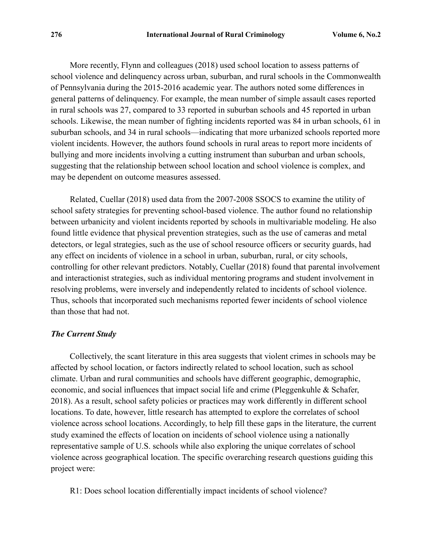More recently, Flynn and colleagues (2018) used school location to assess patterns of school violence and delinquency across urban, suburban, and rural schools in the Commonwealth of Pennsylvania during the 2015-2016 academic year. The authors noted some differences in general patterns of delinquency. For example, the mean number of simple assault cases reported in rural schools was 27, compared to 33 reported in suburban schools and 45 reported in urban schools. Likewise, the mean number of fighting incidents reported was 84 in urban schools, 61 in suburban schools, and 34 in rural schools—indicating that more urbanized schools reported more violent incidents. However, the authors found schools in rural areas to report more incidents of bullying and more incidents involving a cutting instrument than suburban and urban schools, suggesting that the relationship between school location and school violence is complex, and may be dependent on outcome measures assessed.

Related, Cuellar (2018) used data from the 2007-2008 SSOCS to examine the utility of school safety strategies for preventing school-based violence. The author found no relationship between urbanicity and violent incidents reported by schools in multivariable modeling. He also found little evidence that physical prevention strategies, such as the use of cameras and metal detectors, or legal strategies, such as the use of school resource officers or security guards, had any effect on incidents of violence in a school in urban, suburban, rural, or city schools, controlling for other relevant predictors. Notably, Cuellar (2018) found that parental involvement and interactionist strategies, such as individual mentoring programs and student involvement in resolving problems, were inversely and independently related to incidents of school violence. Thus, schools that incorporated such mechanisms reported fewer incidents of school violence than those that had not.

#### *The Current Study*

Collectively, the scant literature in this area suggests that violent crimes in schools may be affected by school location, or factors indirectly related to school location, such as school climate. Urban and rural communities and schools have different geographic, demographic, economic, and social influences that impact social life and crime (Pleggenkuhle & Schafer, 2018). As a result, school safety policies or practices may work differently in different school locations. To date, however, little research has attempted to explore the correlates of school violence across school locations. Accordingly, to help fill these gaps in the literature, the current study examined the effects of location on incidents of school violence using a nationally representative sample of U.S. schools while also exploring the unique correlates of school violence across geographical location. The specific overarching research questions guiding this project were:

R1: Does school location differentially impact incidents of school violence?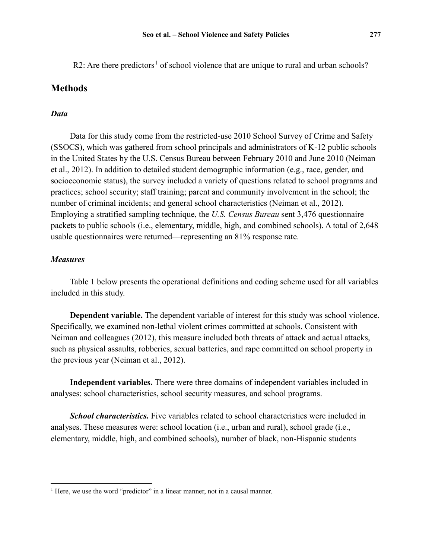R2: Are there predictors<sup>[1](#page-4-0)</sup> of school violence that are unique to rural and urban schools?

### **Methods**

#### *Data*

Data for this study come from the restricted-use 2010 School Survey of Crime and Safety (SSOCS), which was gathered from school principals and administrators of K-12 public schools in the United States by the U.S. Census Bureau between February 2010 and June 2010 (Neiman et al., 2012). In addition to detailed student demographic information (e.g., race, gender, and socioeconomic status), the survey included a variety of questions related to school programs and practices; school security; staff training; parent and community involvement in the school; the number of criminal incidents; and general school characteristics (Neiman et al., 2012). Employing a stratified sampling technique, the *U.S. Census Bureau* sent 3,476 questionnaire packets to public schools (i.e., elementary, middle, high, and combined schools). A total of 2,648 usable questionnaires were returned—representing an 81% response rate.

#### *Measures*

 $\overline{a}$ 

Table 1 below presents the operational definitions and coding scheme used for all variables included in this study.

**Dependent variable.** The dependent variable of interest for this study was school violence. Specifically, we examined non-lethal violent crimes committed at schools. Consistent with Neiman and colleagues (2012), this measure included both threats of attack and actual attacks, such as physical assaults, robberies, sexual batteries, and rape committed on school property in the previous year (Neiman et al., 2012).

**Independent variables.** There were three domains of independent variables included in analyses: school characteristics, school security measures, and school programs.

*School characteristics.* Five variables related to school characteristics were included in analyses. These measures were: school location (i.e., urban and rural), school grade (i.e., elementary, middle, high, and combined schools), number of black, non-Hispanic students

<span id="page-4-0"></span> $1$  Here, we use the word "predictor" in a linear manner, not in a causal manner.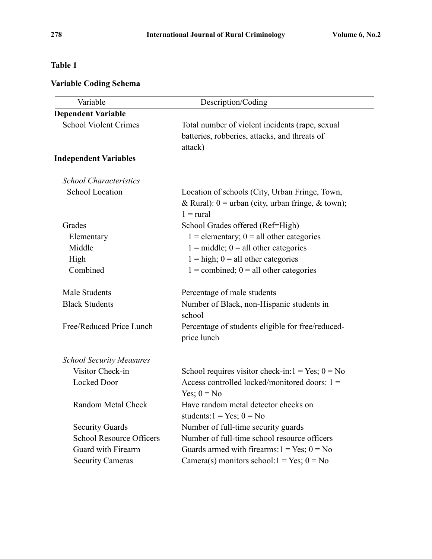## **Table 1**

# **Variable Coding Schema**

| Variable                        | Description/Coding                                                                                                          |
|---------------------------------|-----------------------------------------------------------------------------------------------------------------------------|
| <b>Dependent Variable</b>       |                                                                                                                             |
| <b>School Violent Crimes</b>    | Total number of violent incidents (rape, sexual<br>batteries, robberies, attacks, and threats of<br>attack)                 |
| <b>Independent Variables</b>    |                                                                                                                             |
| <b>School Characteristics</b>   |                                                                                                                             |
| <b>School Location</b>          | Location of schools (City, Urban Fringe, Town,<br>& Rural): $0 =$ urban (city, urban fringe, & town);<br>$1 = \text{rural}$ |
| Grades                          | School Grades offered (Ref=High)                                                                                            |
| Elementary                      | $1 =$ elementary; $0 =$ all other categories                                                                                |
| Middle                          | $1 = middle$ ; $0 = all other categories$                                                                                   |
| High                            | $1 = high$ ; $0 = all other categories$                                                                                     |
| Combined                        | $1 =$ combined; $0 =$ all other categories                                                                                  |
| Male Students                   | Percentage of male students                                                                                                 |
| <b>Black Students</b>           | Number of Black, non-Hispanic students in<br>school                                                                         |
| Free/Reduced Price Lunch        | Percentage of students eligible for free/reduced-<br>price lunch                                                            |
| <b>School Security Measures</b> |                                                                                                                             |
| Visitor Check-in                | School requires visitor check-in: $1 = Yes$ ; $0 = No$                                                                      |
| Locked Door                     | Access controlled locked/monitored doors: $1 =$<br>Yes; $0 = No$                                                            |
| <b>Random Metal Check</b>       | Have random metal detector checks on<br>students: $1 = Yes$ ; $0 = No$                                                      |
| <b>Security Guards</b>          | Number of full-time security guards                                                                                         |
| <b>School Resource Officers</b> | Number of full-time school resource officers                                                                                |
| Guard with Firearm              | Guards armed with firearms: $1 = Yes$ ; $0 = No$                                                                            |
| <b>Security Cameras</b>         | Camera(s) monitors school: $1 = Yes$ ; $0 = No$                                                                             |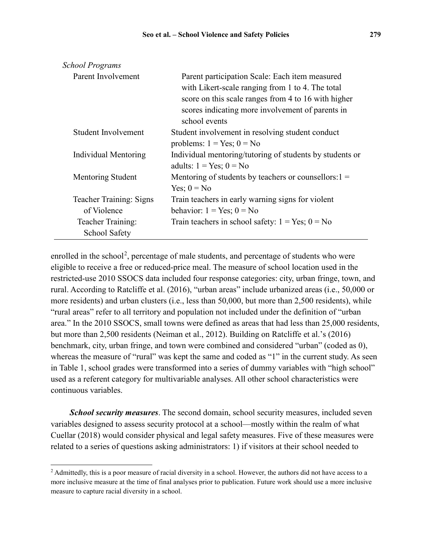| <b>School Programs</b>         |                                                                                                                                                                                                                                |
|--------------------------------|--------------------------------------------------------------------------------------------------------------------------------------------------------------------------------------------------------------------------------|
| Parent Involvement             | Parent participation Scale: Each item measured<br>with Likert-scale ranging from 1 to 4. The total<br>score on this scale ranges from 4 to 16 with higher<br>scores indicating more involvement of parents in<br>school events |
| Student Involvement            | Student involvement in resolving student conduct<br>problems: $1 = Yes$ ; $0 = No$                                                                                                                                             |
| Individual Mentoring           | Individual mentoring/tutoring of students by students or<br>adults: $1 = Yes$ ; $0 = No$                                                                                                                                       |
| Mentoring Student              | Mentoring of students by teachers or counsellors: $1 =$<br>Yes; $0 = No$                                                                                                                                                       |
| <b>Teacher Training: Signs</b> | Train teachers in early warning signs for violent                                                                                                                                                                              |
| of Violence                    | behavior: $1 = Yes$ ; $0 = No$                                                                                                                                                                                                 |
| Teacher Training:              | Train teachers in school safety: $1 = Yes$ ; $0 = No$                                                                                                                                                                          |
| School Safety                  |                                                                                                                                                                                                                                |

enrolled in the school<sup>[2](#page-6-0)</sup>, percentage of male students, and percentage of students who were eligible to receive a free or reduced-price meal. The measure of school location used in the restricted-use 2010 SSOCS data included four response categories: city, urban fringe, town, and rural. According to Ratcliffe et al. (2016), "urban areas" include urbanized areas (i.e., 50,000 or more residents) and urban clusters (i.e., less than 50,000, but more than 2,500 residents), while "rural areas" refer to all territory and population not included under the definition of "urban area." In the 2010 SSOCS, small towns were defined as areas that had less than 25,000 residents, but more than 2,500 residents (Neiman et al., 2012). Building on Ratcliffe et al.'s (2016) benchmark, city, urban fringe, and town were combined and considered "urban" (coded as 0), whereas the measure of "rural" was kept the same and coded as "1" in the current study. As seen in Table 1, school grades were transformed into a series of dummy variables with "high school" used as a referent category for multivariable analyses. All other school characteristics were continuous variables.

*School security measures*. The second domain, school security measures, included seven variables designed to assess security protocol at a school—mostly within the realm of what Cuellar (2018) would consider physical and legal safety measures. Five of these measures were related to a series of questions asking administrators: 1) if visitors at their school needed to

 $\overline{a}$ 

<span id="page-6-0"></span><sup>&</sup>lt;sup>2</sup> Admittedly, this is a poor measure of racial diversity in a school. However, the authors did not have access to a more inclusive measure at the time of final analyses prior to publication. Future work should use a more inclusive measure to capture racial diversity in a school.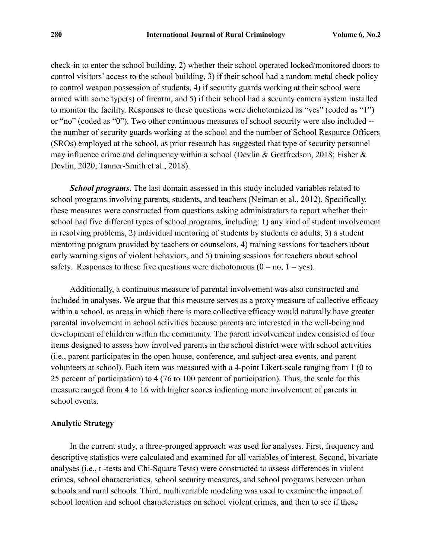check-in to enter the school building, 2) whether their school operated locked/monitored doors to control visitors' access to the school building, 3) if their school had a random metal check policy to control weapon possession of students, 4) if security guards working at their school were armed with some type(s) of firearm, and 5) if their school had a security camera system installed to monitor the facility. Responses to these questions were dichotomized as "yes" (coded as "1") or "no" (coded as "0"). Two other continuous measures of school security were also included - the number of security guards working at the school and the number of School Resource Officers (SROs) employed at the school, as prior research has suggested that type of security personnel may influence crime and delinquency within a school (Devlin & Gottfredson, 2018; Fisher & Devlin, 2020; Tanner-Smith et al., 2018).

*School programs*. The last domain assessed in this study included variables related to school programs involving parents, students, and teachers (Neiman et al., 2012). Specifically, these measures were constructed from questions asking administrators to report whether their school had five different types of school programs, including: 1) any kind of student involvement in resolving problems, 2) individual mentoring of students by students or adults, 3) a student mentoring program provided by teachers or counselors, 4) training sessions for teachers about early warning signs of violent behaviors, and 5) training sessions for teachers about school safety. Responses to these five questions were dichotomous  $(0 = no, 1 = yes)$ .

Additionally, a continuous measure of parental involvement was also constructed and included in analyses. We argue that this measure serves as a proxy measure of collective efficacy within a school, as areas in which there is more collective efficacy would naturally have greater parental involvement in school activities because parents are interested in the well-being and development of children within the community. The parent involvement index consisted of four items designed to assess how involved parents in the school district were with school activities (i.e., parent participates in the open house, conference, and subject-area events, and parent volunteers at school). Each item was measured with a 4-point Likert-scale ranging from 1 (0 to 25 percent of participation) to 4 (76 to 100 percent of participation). Thus, the scale for this measure ranged from 4 to 16 with higher scores indicating more involvement of parents in school events.

#### **Analytic Strategy**

In the current study, a three-pronged approach was used for analyses. First, frequency and descriptive statistics were calculated and examined for all variables of interest. Second, bivariate analyses (i.e., t -tests and Chi-Square Tests) were constructed to assess differences in violent crimes, school characteristics, school security measures, and school programs between urban schools and rural schools. Third, multivariable modeling was used to examine the impact of school location and school characteristics on school violent crimes, and then to see if these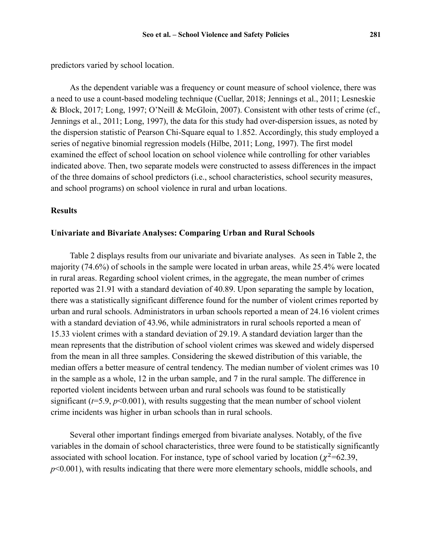predictors varied by school location.

As the dependent variable was a frequency or count measure of school violence, there was a need to use a count-based modeling technique (Cuellar, 2018; Jennings et al., 2011; Lesneskie & Block, 2017; Long, 1997; O'Neill & McGloin, 2007). Consistent with other tests of crime (cf., Jennings et al., 2011; Long, 1997), the data for this study had over-dispersion issues, as noted by the dispersion statistic of Pearson Chi-Square equal to 1.852. Accordingly, this study employed a series of negative binomial regression models (Hilbe, 2011; Long, 1997). The first model examined the effect of school location on school violence while controlling for other variables indicated above. Then, two separate models were constructed to assess differences in the impact of the three domains of school predictors (i.e., school characteristics, school security measures, and school programs) on school violence in rural and urban locations.

#### **Results**

#### **Univariate and Bivariate Analyses: Comparing Urban and Rural Schools**

Table 2 displays results from our univariate and bivariate analyses. As seen in Table 2, the majority (74.6%) of schools in the sample were located in urban areas, while 25.4% were located in rural areas. Regarding school violent crimes, in the aggregate, the mean number of crimes reported was 21.91 with a standard deviation of 40.89. Upon separating the sample by location, there was a statistically significant difference found for the number of violent crimes reported by urban and rural schools. Administrators in urban schools reported a mean of 24.16 violent crimes with a standard deviation of 43.96, while administrators in rural schools reported a mean of 15.33 violent crimes with a standard deviation of 29.19. A standard deviation larger than the mean represents that the distribution of school violent crimes was skewed and widely dispersed from the mean in all three samples. Considering the skewed distribution of this variable, the median offers a better measure of central tendency. The median number of violent crimes was 10 in the sample as a whole, 12 in the urban sample, and 7 in the rural sample. The difference in reported violent incidents between urban and rural schools was found to be statistically significant  $(t=5.9, p<0.001)$ , with results suggesting that the mean number of school violent crime incidents was higher in urban schools than in rural schools.

Several other important findings emerged from bivariate analyses. Notably, of the five variables in the domain of school characteristics, three were found to be statistically significantly associated with school location. For instance, type of school varied by location ( $\chi^2$ =62.39, *p*<0.001), with results indicating that there were more elementary schools, middle schools, and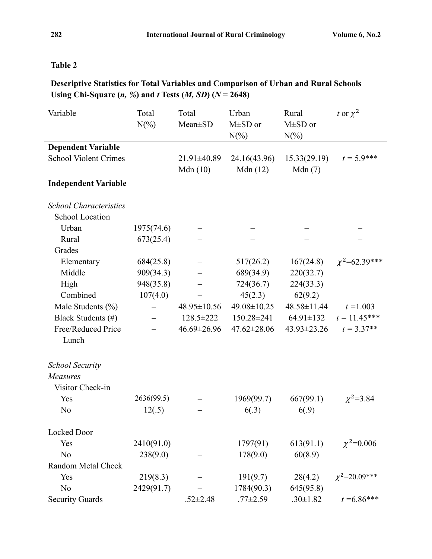## **Table 2**

# **Descriptive Statistics for Total Variables and Comparison of Urban and Rural Schools Using Chi-Square (***n, %***) and** *t* **Tests (***M, SD***) (***N* **= 2648)**

| Variable                      | Total      | Total             | Urban             | Rural           | t or $\chi^2$        |
|-------------------------------|------------|-------------------|-------------------|-----------------|----------------------|
|                               | $N(\%)$    | Mean±SD           | M±SD or           | $M\pm SD$ or    |                      |
|                               |            |                   | $N(\%)$           | $N(\%)$         |                      |
| <b>Dependent Variable</b>     |            |                   |                   |                 |                      |
| <b>School Violent Crimes</b>  |            | 21.91±40.89       | 24.16(43.96)      | 15.33(29.19)    | $t = 5.9$ ***        |
|                               |            | Mdn(10)           | Mdn(12)           | Mdn(7)          |                      |
| <b>Independent Variable</b>   |            |                   |                   |                 |                      |
|                               |            |                   |                   |                 |                      |
| <b>School Characteristics</b> |            |                   |                   |                 |                      |
| <b>School Location</b>        |            |                   |                   |                 |                      |
| Urban                         | 1975(74.6) |                   |                   |                 |                      |
| Rural                         | 673(25.4)  |                   |                   |                 |                      |
| Grades                        |            |                   |                   |                 |                      |
| Elementary                    | 684(25.8)  |                   | 517(26.2)         | 167(24.8)       | $\chi^2$ =62.39***   |
| Middle                        | 909(34.3)  |                   | 689(34.9)         | 220(32.7)       |                      |
| High                          | 948(35.8)  |                   | 724(36.7)         | 224(33.3)       |                      |
| Combined                      | 107(4.0)   |                   | 45(2.3)           | 62(9.2)         |                      |
| Male Students (%)             |            | $48.95 \pm 10.56$ | 49.08±10.25       | 48.58±11.44     | $t = 1.003$          |
| Black Students (#)            |            | 128.5±222         | 150.28±241        | $64.91 \pm 132$ | $t = 11.45***$       |
| Free/Reduced Price            |            | 46.69±26.96       | $47.62 \pm 28.06$ | 43.93±23.26     | $t = 3.37**$         |
| Lunch                         |            |                   |                   |                 |                      |
|                               |            |                   |                   |                 |                      |
| <b>School Security</b>        |            |                   |                   |                 |                      |
| Measures                      |            |                   |                   |                 |                      |
| Visitor Check-in              |            |                   |                   |                 |                      |
| Yes                           | 2636(99.5) |                   | 1969(99.7)        | 667(99.1)       | $\chi^2 = 3.84$      |
| N <sub>o</sub>                | 12(.5)     |                   | 6(.3)             | 6(.9)           |                      |
|                               |            |                   |                   |                 |                      |
| Locked Door                   |            |                   |                   |                 |                      |
| Yes                           | 2410(91.0) |                   | 1797(91)          | 613(91.1)       | $\chi^2$ =0.006      |
| No                            | 238(9.0)   |                   | 178(9.0)          | 60(8.9)         |                      |
| Random Metal Check            |            |                   |                   |                 |                      |
| Yes                           | 219(8.3)   |                   | 191(9.7)          | 28(4.2)         | $\chi^2 = 20.09$ *** |
| N <sub>o</sub>                | 2429(91.7) |                   | 1784(90.3)        | 645(95.8)       |                      |
| <b>Security Guards</b>        |            | $.52 \pm 2.48$    | $.77 \pm 2.59$    | $.30 \pm 1.82$  | $t = 6.86***$        |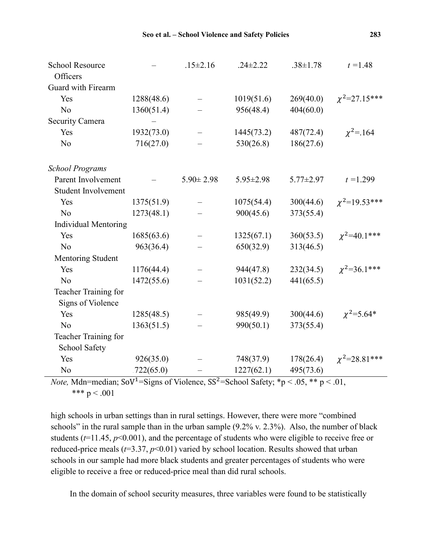| <b>School Resource</b><br>Officers        |            | $.15 \pm 2.16$  | $.24 \pm 2.22$  | $.38 \pm 1.78$  | $t = 1.48$           |
|-------------------------------------------|------------|-----------------|-----------------|-----------------|----------------------|
| Guard with Firearm                        |            |                 |                 |                 |                      |
| Yes                                       | 1288(48.6) |                 | 1019(51.6)      | 269(40.0)       | $\chi^2$ =27.15***   |
| No                                        | 1360(51.4) |                 | 956(48.4)       | 404(60.0)       |                      |
| Security Camera                           |            |                 |                 |                 |                      |
| Yes                                       | 1932(73.0) |                 | 1445(73.2)      | 487(72.4)       | $\chi^2 = 164$       |
| N <sub>o</sub>                            | 716(27.0)  |                 | 530(26.8)       | 186(27.6)       |                      |
| <b>School Programs</b>                    |            |                 |                 |                 |                      |
| Parent Involvement                        |            | $5.90 \pm 2.98$ | $5.95 \pm 2.98$ | $5.77 \pm 2.97$ | $t = 1.299$          |
| <b>Student Involvement</b>                |            |                 |                 |                 |                      |
| Yes                                       | 1375(51.9) |                 | 1075(54.4)      | 300(44.6)       | $\chi^2$ =19.53***   |
| No                                        | 1273(48.1) |                 | 900(45.6)       | 373(55.4)       |                      |
| <b>Individual Mentoring</b>               |            |                 |                 |                 |                      |
| Yes                                       | 1685(63.6) |                 | 1325(67.1)      | 360(53.5)       | $\chi^2$ =40.1***    |
| No                                        | 963(36.4)  |                 | 650(32.9)       | 313(46.5)       |                      |
| Mentoring Student                         |            |                 |                 |                 |                      |
| Yes                                       | 1176(44.4) |                 | 944(47.8)       | 232(34.5)       | $\chi^2 = 36.1$ ***  |
| N <sub>o</sub>                            | 1472(55.6) |                 | 1031(52.2)      | 441(65.5)       |                      |
| Teacher Training for<br>Signs of Violence |            |                 |                 |                 |                      |
| Yes                                       | 1285(48.5) |                 | 985(49.9)       | 300(44.6)       | $\chi^2 = 5.64*$     |
| N <sub>o</sub>                            | 1363(51.5) |                 | 990(50.1)       | 373(55.4)       |                      |
| Teacher Training for                      |            |                 |                 |                 |                      |
| School Safety                             |            |                 |                 |                 |                      |
| Yes                                       | 926(35.0)  |                 | 748(37.9)       | 178(26.4)       | $\chi^2 = 28.81$ *** |
| N <sub>o</sub>                            | 722(65.0)  |                 | 1227(62.1)      | 495(73.6)       |                      |

*Note,* Mdn=median;  $SoV^1 = Signs$  of Violence,  $SS^2 = School$  Safety; \*p < .05, \*\* p < .01, \*\*\*  $p < .001$ 

high schools in urban settings than in rural settings. However, there were more "combined schools" in the rural sample than in the urban sample (9.2% v. 2.3%). Also, the number of black students (*t*=11.45, *p*<0.001), and the percentage of students who were eligible to receive free or reduced-price meals ( $t=3.37$ ,  $p<0.01$ ) varied by school location. Results showed that urban schools in our sample had more black students and greater percentages of students who were eligible to receive a free or reduced-price meal than did rural schools.

In the domain of school security measures, three variables were found to be statistically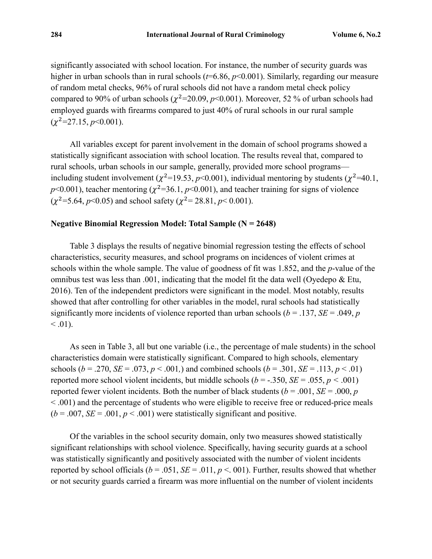significantly associated with school location. For instance, the number of security guards was higher in urban schools than in rural schools ( $t=6.86$ ,  $p<0.001$ ). Similarly, regarding our measure of random metal checks, 96% of rural schools did not have a random metal check policy compared to 90% of urban schools ( $\chi^2$ =20.09, *p*<0.001). Moreover, 52 % of urban schools had employed guards with firearms compared to just 40% of rural schools in our rural sample  $(\gamma^2 = 27.15, p \le 0.001)$ .

All variables except for parent involvement in the domain of school programs showed a statistically significant association with school location. The results reveal that, compared to rural schools, urban schools in our sample, generally, provided more school programs including student involvement ( $\chi^2$ =19.53, *p*<0.001), individual mentoring by students ( $\chi^2$ =40.1,  $p$ <0.001), teacher mentoring ( $\chi^2$ =36.1,  $p$ <0.001), and teacher training for signs of violence  $(\gamma^2 = 5.64, p < 0.05)$  and school safety ( $\gamma^2 = 28.81, p < 0.001$ ).

#### **Negative Binomial Regression Model: Total Sample (N = 2648)**

Table 3 displays the results of negative binomial regression testing the effects of school characteristics, security measures, and school programs on incidences of violent crimes at schools within the whole sample. The value of goodness of fit was 1.852, and the *p*-value of the omnibus test was less than .001, indicating that the model fit the data well (Oyedepo & Etu, 2016). Ten of the independent predictors were significant in the model. Most notably, results showed that after controlling for other variables in the model, rural schools had statistically significantly more incidents of violence reported than urban schools ( $b = .137$ , *SE* = .049, *p*  $\leq .01$ ).

As seen in Table 3, all but one variable (i.e., the percentage of male students) in the school characteristics domain were statistically significant. Compared to high schools, elementary schools (*b* = .270, *SE* = .073, *p* < .001,) and combined schools (*b* = .301, *SE* = .113, *p* < .01) reported more school violent incidents, but middle schools (*b* = -.350, *SE* = .055, *p <* .001) reported fewer violent incidents. Both the number of black students ( $b = .001$ ,  $SE = .000$ , *p* < .001) and the percentage of students who were eligible to receive free or reduced-price meals  $(b = .007, SE = .001, p < .001)$  were statistically significant and positive.

Of the variables in the school security domain, only two measures showed statistically significant relationships with school violence. Specifically, having security guards at a school was statistically significantly and positively associated with the number of violent incidents reported by school officials ( $b = .051$ ,  $SE = .011$ ,  $p < .001$ ). Further, results showed that whether or not security guards carried a firearm was more influential on the number of violent incidents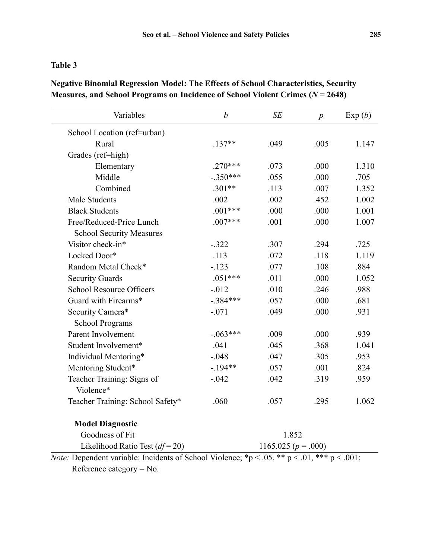## **Table 3**

| <b>Negative Binomial Regression Model: The Effects of School Characteristics, Security</b> |  |
|--------------------------------------------------------------------------------------------|--|
| Measures, and School Programs on Incidence of School Violent Crimes ( $N = 2648$ )         |  |

| Variables                               | $\boldsymbol{b}$ | SE                  | $\boldsymbol{p}$ | Exp(b) |
|-----------------------------------------|------------------|---------------------|------------------|--------|
| School Location (ref=urban)             |                  |                     |                  |        |
| Rural                                   | $.137**$         | .049                | .005             | 1.147  |
| Grades (ref=high)                       |                  |                     |                  |        |
| Elementary                              | $.270***$        | .073                | .000             | 1.310  |
| Middle                                  | $-.350***$       | .055                | .000             | .705   |
| Combined                                | $.301**$         | .113                | .007             | 1.352  |
| Male Students                           | .002             | .002                | .452             | 1.002  |
| <b>Black Students</b>                   | $.001***$        | .000                | .000             | 1.001  |
| Free/Reduced-Price Lunch                | $.007***$        | .001                | .000             | 1.007  |
| <b>School Security Measures</b>         |                  |                     |                  |        |
| Visitor check-in*                       | $-.322$          | .307                | .294             | .725   |
| Locked Door*                            | .113             | .072                | .118             | 1.119  |
| Random Metal Check*                     | $-.123$          | .077                | .108             | .884   |
| <b>Security Guards</b>                  | $.051***$        | .011                | .000             | 1.052  |
| <b>School Resource Officers</b>         | $-0.012$         | .010                | .246             | .988   |
| Guard with Firearms*                    | $-.384***$       | .057                | .000             | .681   |
| Security Camera*                        | $-.071$          | .049                | .000             | .931   |
| <b>School Programs</b>                  |                  |                     |                  |        |
| Parent Involvement                      | $-.063***$       | .009                | .000             | .939   |
| Student Involvement*                    | .041             | .045                | .368             | 1.041  |
| Individual Mentoring*                   | $-.048$          | .047                | .305             | .953   |
| Mentoring Student*                      | $-.194**$        | .057                | .001             | .824   |
| Teacher Training: Signs of<br>Violence* | $-.042$          | .042                | .319             | .959   |
| Teacher Training: School Safety*        | .060             | .057                | .295             | 1.062  |
| <b>Model Diagnostic</b>                 |                  |                     |                  |        |
| Goodness of Fit                         |                  | 1.852               |                  |        |
| Likelihood Ratio Test $(df=20)$         |                  | 1165.025 $(p=.000)$ |                  |        |

*Note:* Dependent variable: Incidents of School Violence;  ${}^*p < .05$ ,  ${}^{**}p < .01$ ,  ${}^{***}p < .001$ ; Reference category = No.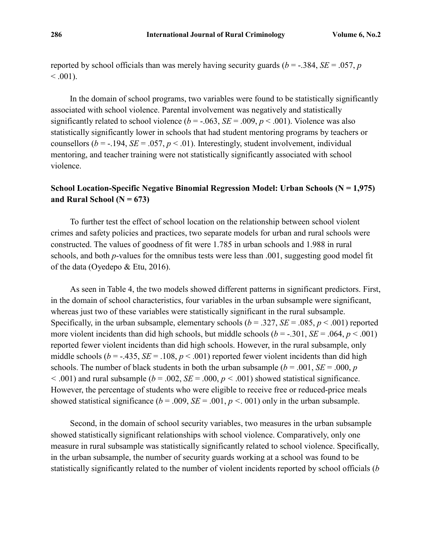reported by school officials than was merely having security guards ( $b = -0.384$ ,  $SE = 0.057$ , *p*  $< .001$ ).

In the domain of school programs, two variables were found to be statistically significantly associated with school violence. Parental involvement was negatively and statistically significantly related to school violence ( $b = -.063$ ,  $SE = .009$ ,  $p < .001$ ). Violence was also statistically significantly lower in schools that had student mentoring programs by teachers or counsellors ( $b = -194$ ,  $SE = .057$ ,  $p < .01$ ). Interestingly, student involvement, individual mentoring, and teacher training were not statistically significantly associated with school violence.

## **School Location-Specific Negative Binomial Regression Model: Urban Schools (N = 1,975)** and Rural School  $(N = 673)$

To further test the effect of school location on the relationship between school violent crimes and safety policies and practices, two separate models for urban and rural schools were constructed. The values of goodness of fit were 1.785 in urban schools and 1.988 in rural schools, and both *p*-values for the omnibus tests were less than .001, suggesting good model fit of the data (Oyedepo & Etu, 2016).

As seen in Table 4, the two models showed different patterns in significant predictors. First, in the domain of school characteristics, four variables in the urban subsample were significant, whereas just two of these variables were statistically significant in the rural subsample. Specifically, in the urban subsample, elementary schools  $(b = .327, SE = .085, p < .001)$  reported more violent incidents than did high schools, but middle schools ( $b = -0.301$ , *SE* = .064,  $p < 0.001$ ) reported fewer violent incidents than did high schools. However, in the rural subsample, only middle schools ( $b = -.435$ ,  $SE = .108$ ,  $p < .001$ ) reported fewer violent incidents than did high schools. The number of black students in both the urban subsample ( $b = .001$ ,  $SE = .000$ ,  $p$  $(6 - 0.001)$  and rural subsample ( $b = 0.002$ ,  $SE = 0.000$ ,  $p < 0.001$ ) showed statistical significance. However, the percentage of students who were eligible to receive free or reduced-price meals showed statistical significance ( $b = .009$ ,  $SE = .001$ ,  $p < .001$ ) only in the urban subsample.

Second, in the domain of school security variables, two measures in the urban subsample showed statistically significant relationships with school violence. Comparatively, only one measure in rural subsample was statistically significantly related to school violence. Specifically, in the urban subsample, the number of security guards working at a school was found to be statistically significantly related to the number of violent incidents reported by school officials (*b*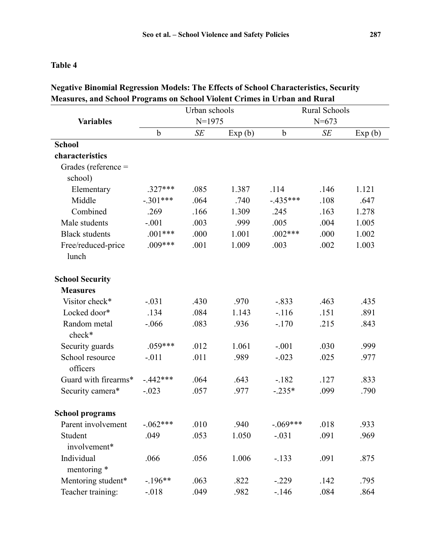### **Table 4**

|                             |             | Urban schools |        | <b>Rural Schools</b> |      |        |  |
|-----------------------------|-------------|---------------|--------|----------------------|------|--------|--|
| <b>Variables</b>            | $N=1975$    |               |        | $N = 673$            |      |        |  |
|                             | $\mathbf b$ | SE            | Exp(b) | $\mathbf b$          | SE   | Exp(b) |  |
| <b>School</b>               |             |               |        |                      |      |        |  |
| characteristics             |             |               |        |                      |      |        |  |
| Grades (reference =         |             |               |        |                      |      |        |  |
| school)                     |             |               |        |                      |      |        |  |
| Elementary                  | $.327***$   | .085          | 1.387  | .114                 | .146 | 1.121  |  |
| Middle                      | $-.301***$  | .064          | .740   | $-.435***$           | .108 | .647   |  |
| Combined                    | .269        | .166          | 1.309  | .245                 | .163 | 1.278  |  |
| Male students               | $-.001$     | .003          | .999   | .005                 | .004 | 1.005  |  |
| <b>Black students</b>       | $.001***$   | .000          | 1.001  | $.002***$            | .000 | 1.002  |  |
| Free/reduced-price          | $.009***$   | .001          | 1.009  | .003                 | .002 | 1.003  |  |
| lunch                       |             |               |        |                      |      |        |  |
| <b>School Security</b>      |             |               |        |                      |      |        |  |
| <b>Measures</b>             |             |               |        |                      |      |        |  |
| Visitor check*              | $-.031$     | .430          | .970   | $-.833$              | .463 | .435   |  |
| Locked door*                | .134        | .084          | 1.143  | $-.116$              | .151 | .891   |  |
| Random metal<br>check*      | $-.066$     | .083          | .936   | $-.170$              | .215 | .843   |  |
| Security guards             | $.059***$   | .012          | 1.061  | $-.001$              | .030 | .999   |  |
| School resource<br>officers | $-.011$     | .011          | .989   | $-.023$              | .025 | .977   |  |
| Guard with firearms*        | $-.442***$  | .064          | .643   | $-182$               | .127 | .833   |  |
| Security camera*            | $-.023$     | .057          | .977   | $-.235*$             | .099 | .790   |  |
| <b>School programs</b>      |             |               |        |                      |      |        |  |
| Parent involvement          | $-.062***$  | .010          | .940   | $-.069***$           | .018 | .933   |  |
| Student                     | .049        | .053          | 1.050  | $-.031$              | .091 | .969   |  |
| involvement*                |             |               |        |                      |      |        |  |
| Individual                  | .066        | .056          | 1.006  | $-.133$              | .091 | .875   |  |
| mentoring *                 |             |               |        |                      |      |        |  |
| Mentoring student*          | $-.196**$   | .063          | .822   | $-.229$              | .142 | .795   |  |
| Teacher training:           | $-.018$     | .049          | .982   | $-.146$              | .084 | .864   |  |

## **Negative Binomial Regression Models: The Effects of School Characteristics, Security Measures, and School Programs on School Violent Crimes in Urban and Rural**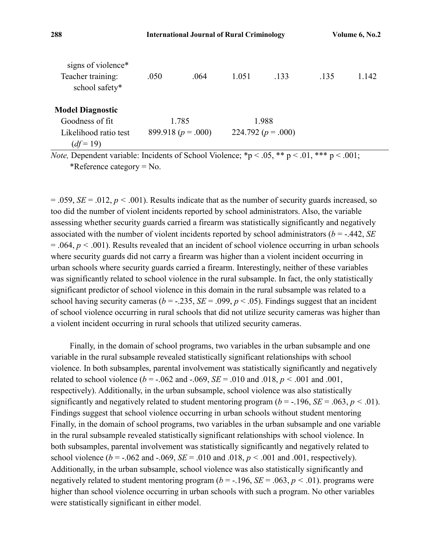| signs of violence*<br>Teacher training:<br>school safety*                                | .050 | .064                   | 1.051 | .133                   | .135 | 1.142 |
|------------------------------------------------------------------------------------------|------|------------------------|-------|------------------------|------|-------|
| <b>Model Diagnostic</b>                                                                  |      |                        |       |                        |      |       |
| Goodness of fit                                                                          |      | 1.785                  |       | 1.988                  |      |       |
| Likelihood ratio test                                                                    |      | 899.918 ( $p = .000$ ) |       | 224.792 ( $p = .000$ ) |      |       |
| $(df=19)$                                                                                |      |                        |       |                        |      |       |
| $N_{0}$ Dependent variable: Incidents of School Violence: *n < 05 ** n < 01 *** n < 001. |      |                        |       |                        |      |       |

*Note,* Dependent variable: Incidents of School Violence;  $\mathbf{p} < .05$ ,  $\mathbf{p} < .01$ ,  $\mathbf{p} < .001$ ; \*Reference category = No.

 $= .059$ , *SE* = .012, *p* < .001). Results indicate that as the number of security guards increased, so too did the number of violent incidents reported by school administrators. Also, the variable assessing whether security guards carried a firearm was statistically significantly and negatively associated with the number of violent incidents reported by school administrators (*b* = -.442, *SE* = .064, *p <* .001). Results revealed that an incident of school violence occurring in urban schools where security guards did not carry a firearm was higher than a violent incident occurring in urban schools where security guards carried a firearm. Interestingly, neither of these variables was significantly related to school violence in the rural subsample. In fact, the only statistically significant predictor of school violence in this domain in the rural subsample was related to a school having security cameras ( $b = -.235$ ,  $SE = .099$ ,  $p < .05$ ). Findings suggest that an incident of school violence occurring in rural schools that did not utilize security cameras was higher than a violent incident occurring in rural schools that utilized security cameras.

Finally, in the domain of school programs, two variables in the urban subsample and one variable in the rural subsample revealed statistically significant relationships with school violence. In both subsamples, parental involvement was statistically significantly and negatively related to school violence ( $b = -.062$  and  $-.069$ ,  $SE = .010$  and  $.018$ ,  $p < .001$  and  $.001$ , respectively). Additionally, in the urban subsample, school violence was also statistically significantly and negatively related to student mentoring program ( $b = -196$ ,  $SE = .063$ ,  $p < .01$ ). Findings suggest that school violence occurring in urban schools without student mentoring Finally, in the domain of school programs, two variables in the urban subsample and one variable in the rural subsample revealed statistically significant relationships with school violence. In both subsamples, parental involvement was statistically significantly and negatively related to school violence ( $b = -.062$  and  $-.069$ ,  $SE = .010$  and  $.018$ ,  $p < .001$  and  $.001$ , respectively). Additionally, in the urban subsample, school violence was also statistically significantly and negatively related to student mentoring program ( $b = -196$ ,  $SE = .063$ ,  $p < .01$ ). programs were higher than school violence occurring in urban schools with such a program. No other variables were statistically significant in either model.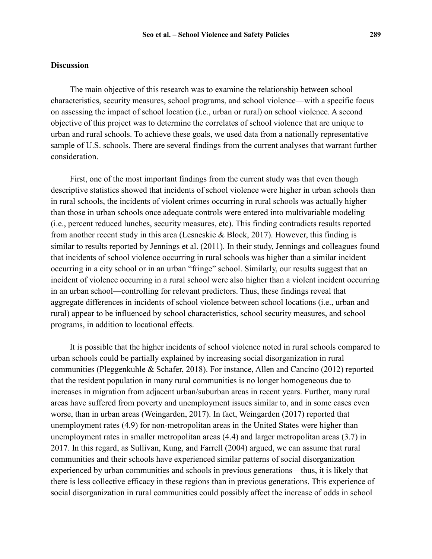#### **Discussion**

The main objective of this research was to examine the relationship between school characteristics, security measures, school programs, and school violence—with a specific focus on assessing the impact of school location (i.e., urban or rural) on school violence. A second objective of this project was to determine the correlates of school violence that are unique to urban and rural schools. To achieve these goals, we used data from a nationally representative sample of U.S. schools. There are several findings from the current analyses that warrant further consideration.

First, one of the most important findings from the current study was that even though descriptive statistics showed that incidents of school violence were higher in urban schools than in rural schools, the incidents of violent crimes occurring in rural schools was actually higher than those in urban schools once adequate controls were entered into multivariable modeling (i.e., percent reduced lunches, security measures, etc). This finding contradicts results reported from another recent study in this area (Lesneskie & Block, 2017). However, this finding is similar to results reported by Jennings et al. (2011). In their study, Jennings and colleagues found that incidents of school violence occurring in rural schools was higher than a similar incident occurring in a city school or in an urban "fringe" school. Similarly, our results suggest that an incident of violence occurring in a rural school were also higher than a violent incident occurring in an urban school—controlling for relevant predictors. Thus, these findings reveal that aggregate differences in incidents of school violence between school locations (i.e., urban and rural) appear to be influenced by school characteristics, school security measures, and school programs, in addition to locational effects.

It is possible that the higher incidents of school violence noted in rural schools compared to urban schools could be partially explained by increasing social disorganization in rural communities (Pleggenkuhle & Schafer, 2018). For instance, Allen and Cancino (2012) reported that the resident population in many rural communities is no longer homogeneous due to increases in migration from adjacent urban/suburban areas in recent years. Further, many rural areas have suffered from poverty and unemployment issues similar to, and in some cases even worse, than in urban areas (Weingarden, 2017). In fact, Weingarden (2017) reported that unemployment rates (4.9) for non-metropolitan areas in the United States were higher than unemployment rates in smaller metropolitan areas (4.4) and larger metropolitan areas (3.7) in 2017. In this regard, as Sullivan, Kung, and Farrell (2004) argued, we can assume that rural communities and their schools have experienced similar patterns of social disorganization experienced by urban communities and schools in previous generations—thus, it is likely that there is less collective efficacy in these regions than in previous generations. This experience of social disorganization in rural communities could possibly affect the increase of odds in school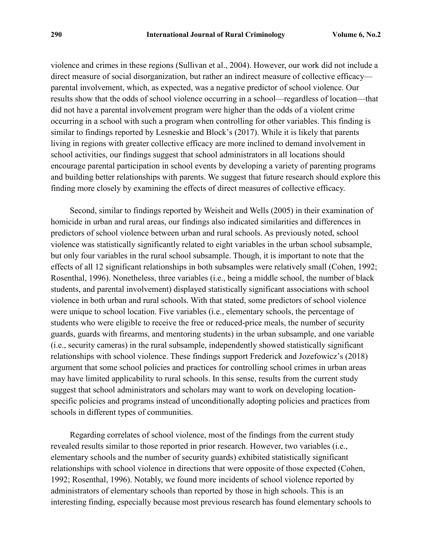violence and crimes in these regions (Sullivan et al., 2004). However, our work did not include a direct measure of social disorganization, but rather an indirect measure of collective efficacy parental involvement, which, as expected, was a negative predictor of school violence. Our results show that the odds of school violence occurring in a school—regardless of location—that did not have a parental involvement program were higher than the odds of a violent crime occurring in a school with such a program when controlling for other variables. This finding is similar to findings reported by Lesneskie and Block's (2017). While it is likely that parents living in regions with greater collective efficacy are more inclined to demand involvement in school activities, our findings suggest that school administrators in all locations should encourage parental participation in school events by developing a variety of parenting programs and building better relationships with parents. We suggest that future research should explore this finding more closely by examining the effects of direct measures of collective efficacy.

Second, similar to findings reported by Weisheit and Wells (2005) in their examination of homicide in urban and rural areas, our findings also indicated similarities and differences in predictors of school violence between urban and rural schools. As previously noted, school violence was statistically significantly related to eight variables in the urban school subsample, but only four variables in the rural school subsample. Though, it is important to note that the effects of all 12 significant relationships in both subsamples were relatively small (Cohen, 1992; Rosenthal, 1996). Nonetheless, three variables (i.e., being a middle school, the number of black students, and parental involvement) displayed statistically significant associations with school violence in both urban and rural schools. With that stated, some predictors of school violence were unique to school location. Five variables (i.e., elementary schools, the percentage of students who were eligible to receive the free or reduced-price meals, the number of security guards, guards with firearms, and mentoring students) in the urban subsample, and one variable (i.e., security cameras) in the rural subsample, independently showed statistically significant relationships with school violence. These findings support Frederick and Jozefowicz's (2018) argument that some school policies and practices for controlling school crimes in urban areas may have limited applicability to rural schools. In this sense, results from the current study suggest that school administrators and scholars may want to work on developing locationspecific policies and programs instead of unconditionally adopting policies and practices from schools in different types of communities.

Regarding correlates of school violence, most of the findings from the current study revealed results similar to those reported in prior research. However, two variables (i.e., elementary schools and the number of security guards) exhibited statistically significant relationships with school violence in directions that were opposite of those expected (Cohen, 1992; Rosenthal, 1996). Notably, we found more incidents of school violence reported by administrators of elementary schools than reported by those in high schools. This is an interesting finding, especially because most previous research has found elementary schools to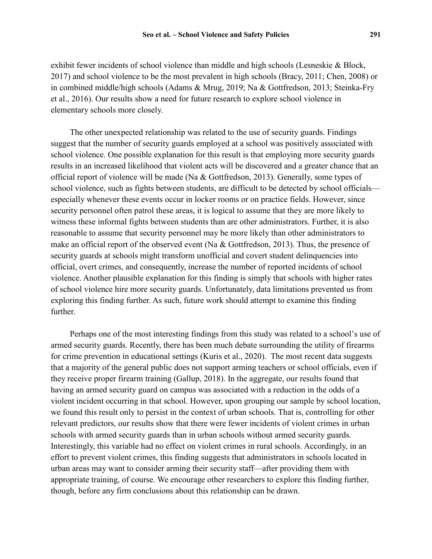exhibit fewer incidents of school violence than middle and high schools (Lesneskie & Block, 2017) and school violence to be the most prevalent in high schools (Bracy, 2011; Chen, 2008) or in combined middle/high schools (Adams & Mrug, 2019; Na & Gottfredson, 2013; Steinka-Fry et al., 2016). Our results show a need for future research to explore school violence in elementary schools more closely.

The other unexpected relationship was related to the use of security guards. Findings suggest that the number of security guards employed at a school was positively associated with school violence. One possible explanation for this result is that employing more security guards results in an increased likelihood that violent acts will be discovered and a greater chance that an official report of violence will be made (Na & Gottfredson, 2013). Generally, some types of school violence, such as fights between students, are difficult to be detected by school officials especially whenever these events occur in locker rooms or on practice fields. However, since security personnel often patrol these areas, it is logical to assume that they are more likely to witness these informal fights between students than are other administrators. Further, it is also reasonable to assume that security personnel may be more likely than other administrators to make an official report of the observed event (Na & Gottfredson, 2013). Thus, the presence of security guards at schools might transform unofficial and covert student delinquencies into official, overt crimes, and consequently, increase the number of reported incidents of school violence. Another plausible explanation for this finding is simply that schools with higher rates of school violence hire more security guards. Unfortunately, data limitations prevented us from exploring this finding further. As such, future work should attempt to examine this finding further.

Perhaps one of the most interesting findings from this study was related to a school's use of armed security guards. Recently, there has been much debate surrounding the utility of firearms for crime prevention in educational settings (Kuris et al., 2020). The most recent data suggests that a majority of the general public does not support arming teachers or school officials, even if they receive proper firearm training (Gallup, 2018). In the aggregate, our results found that having an armed security guard on campus was associated with a reduction in the odds of a violent incident occurring in that school. However, upon grouping our sample by school location, we found this result only to persist in the context of urban schools. That is, controlling for other relevant predictors, our results show that there were fewer incidents of violent crimes in urban schools with armed security guards than in urban schools without armed security guards. Interestingly, this variable had no effect on violent crimes in rural schools. Accordingly, in an effort to prevent violent crimes, this finding suggests that administrators in schools located in urban areas may want to consider arming their security staff—after providing them with appropriate training, of course. We encourage other researchers to explore this finding further, though, before any firm conclusions about this relationship can be drawn.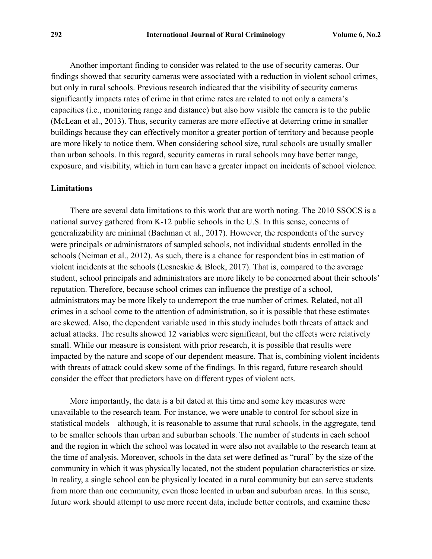Another important finding to consider was related to the use of security cameras. Our findings showed that security cameras were associated with a reduction in violent school crimes, but only in rural schools. Previous research indicated that the visibility of security cameras significantly impacts rates of crime in that crime rates are related to not only a camera's capacities (i.e., monitoring range and distance) but also how visible the camera is to the public (McLean et al., 2013). Thus, security cameras are more effective at deterring crime in smaller buildings because they can effectively monitor a greater portion of territory and because people are more likely to notice them. When considering school size, rural schools are usually smaller than urban schools. In this regard, security cameras in rural schools may have better range, exposure, and visibility, which in turn can have a greater impact on incidents of school violence.

#### **Limitations**

There are several data limitations to this work that are worth noting. The 2010 SSOCS is a national survey gathered from K-12 public schools in the U.S. In this sense, concerns of generalizability are minimal (Bachman et al., 2017). However, the respondents of the survey were principals or administrators of sampled schools, not individual students enrolled in the schools (Neiman et al., 2012). As such, there is a chance for respondent bias in estimation of violent incidents at the schools (Lesneskie & Block, 2017). That is, compared to the average student, school principals and administrators are more likely to be concerned about their schools' reputation. Therefore, because school crimes can influence the prestige of a school, administrators may be more likely to underreport the true number of crimes. Related, not all crimes in a school come to the attention of administration, so it is possible that these estimates are skewed. Also, the dependent variable used in this study includes both threats of attack and actual attacks. The results showed 12 variables were significant, but the effects were relatively small. While our measure is consistent with prior research, it is possible that results were impacted by the nature and scope of our dependent measure. That is, combining violent incidents with threats of attack could skew some of the findings. In this regard, future research should consider the effect that predictors have on different types of violent acts.

More importantly, the data is a bit dated at this time and some key measures were unavailable to the research team. For instance, we were unable to control for school size in statistical models—although, it is reasonable to assume that rural schools, in the aggregate, tend to be smaller schools than urban and suburban schools. The number of students in each school and the region in which the school was located in were also not available to the research team at the time of analysis. Moreover, schools in the data set were defined as "rural" by the size of the community in which it was physically located, not the student population characteristics or size. In reality, a single school can be physically located in a rural community but can serve students from more than one community, even those located in urban and suburban areas. In this sense, future work should attempt to use more recent data, include better controls, and examine these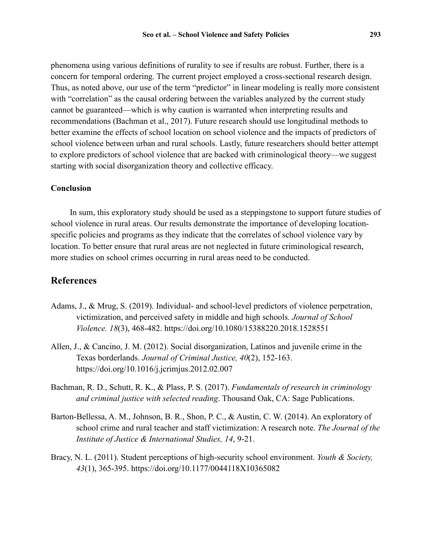phenomena using various definitions of rurality to see if results are robust. Further, there is a concern for temporal ordering. The current project employed a cross-sectional research design. Thus, as noted above, our use of the term "predictor" in linear modeling is really more consistent with "correlation" as the causal ordering between the variables analyzed by the current study cannot be guaranteed—which is why caution is warranted when interpreting results and recommendations (Bachman et al., 2017). Future research should use longitudinal methods to better examine the effects of school location on school violence and the impacts of predictors of school violence between urban and rural schools. Lastly, future researchers should better attempt to explore predictors of school violence that are backed with criminological theory—we suggest starting with social disorganization theory and collective efficacy.

#### **Conclusion**

In sum, this exploratory study should be used as a steppingstone to support future studies of school violence in rural areas. Our results demonstrate the importance of developing locationspecific policies and programs as they indicate that the correlates of school violence vary by location. To better ensure that rural areas are not neglected in future criminological research, more studies on school crimes occurring in rural areas need to be conducted.

## **References**

- Adams, J., & Mrug, S. (2019). Individual- and school-level predictors of violence perpetration, victimization, and perceived safety in middle and high schools. *Journal of School Violence. 18*(3), 468-482. <https://doi.org/10.1080/15388220.2018.1528551>
- Allen, J., & Cancino, J. M. (2012). Social disorganization, Latinos and juvenile crime in the Texas borderlands. *Journal of Criminal Justice, 40*(2), 152-163. <https://doi.org/10.1016/j.jcrimjus.2012.02.007>
- Bachman, R. D., Schutt, R. K., & Plass, P. S. (2017). *Fundamentals of research in criminology and criminal justice with selected reading*. Thousand Oak, CA: Sage Publications.
- Barton-Bellessa, A. M., Johnson, B. R., Shon, P. C., & Austin, C. W. (2014). An exploratory of school crime and rural teacher and staff victimization: A research note. *The Journal of the Institute of Justice & International Studies, 14*, 9-21.
- Bracy, N. L. (2011). Student perceptions of high-security school environment. *Youth & Society, 43*(1), 365-395. <https://doi.org/10.1177/0044118X10365082>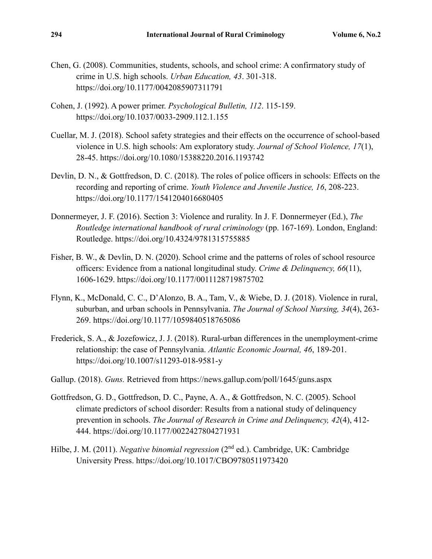- Chen, G. (2008). Communities, students, schools, and school crime: A confirmatory study of crime in U.S. high schools. *Urban Education, 43*. 301-318. <https://doi.org/10.1177/0042085907311791>
- Cohen, J. (1992). A power primer. *Psychological Bulletin, 112*. 115-159. <https://doi.org/10.1037/0033-2909.112.1.155>
- Cuellar, M. J. (2018). School safety strategies and their effects on the occurrence of school-based violence in U.S. high schools: Am exploratory study. *Journal of School Violence, 17*(1), 28-45. <https://doi.org/10.1080/15388220.2016.1193742>
- Devlin, D. N., & Gottfredson, D. C. (2018). The roles of police officers in schools: Effects on the recording and reporting of crime. *Youth Violence and Juvenile Justice, 16*, 208-223. <https://doi.org/10.1177/1541204016680405>
- Donnermeyer, J. F. (2016). Section 3: Violence and rurality. In J. F. Donnermeyer (Ed.), *The Routledge international handbook of rural criminology* (pp. 167-169). London, England: Routledge. <https://doi.org/10.4324/9781315755885>
- Fisher, B. W., & Devlin, D. N. (2020). School crime and the patterns of roles of school resource officers: Evidence from a national longitudinal study. *Crime & Delinquency, 66*(11), 1606-1629. <https://doi.org/10.1177/0011128719875702>
- Flynn, K., McDonald, C. C., D'Alonzo, B. A., Tam, V., & Wiebe, D. J. (2018). Violence in rural, suburban, and urban schools in Pennsylvania. *The Journal of School Nursing, 34*(4), 263- 269. <https://doi.org/10.1177/1059840518765086>
- Frederick, S. A., & Jozefowicz, J. J. (2018). Rural-urban differences in the unemployment-crime relationship: the case of Pennsylvania. *Atlantic Economic Journal, 46*, 189-201. <https://doi.org/10.1007/s11293-018-9581-y>
- Gallup. (2018). *Guns.* Retrieved from <https://news.gallup.com/poll/1645/guns.aspx>
- Gottfredson, G. D., Gottfredson, D. C., Payne, A. A., & Gottfredson, N. C. (2005). School climate predictors of school disorder: Results from a national study of delinquency prevention in schools. *The Journal of Research in Crime and Delinquency, 42*(4), 412- 444. <https://doi.org/10.1177/0022427804271931>
- Hilbe, J. M. (2011). *Negative binomial regression* (2<sup>nd</sup> ed.). Cambridge, UK: Cambridge University Press. <https://doi.org/10.1017/CBO9780511973420>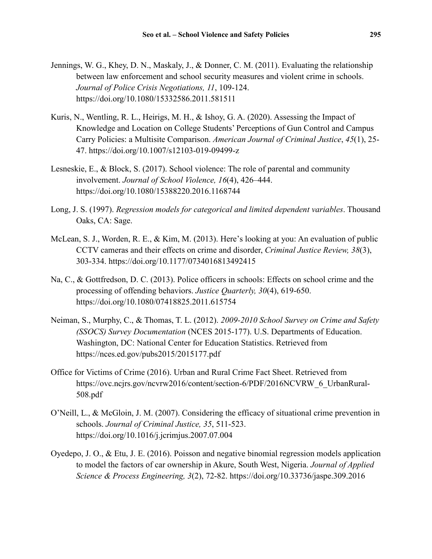- Jennings, W. G., Khey, D. N., Maskaly, J., & Donner, C. M. (2011). Evaluating the relationship between law enforcement and school security measures and violent crime in schools. *Journal of Police Crisis Negotiations, 11*, 109-124. <https://doi.org/10.1080/15332586.2011.581511>
- Kuris, N., Wentling, R. L., Heirigs, M. H., & Ishoy, G. A. (2020). Assessing the Impact of Knowledge and Location on College Students' Perceptions of Gun Control and Campus Carry Policies: a Multisite Comparison. *American Journal of Criminal Justice*, *45*(1), 25- 47. <https://doi.org/10.1007/s12103-019-09499-z>
- Lesneskie, E., & Block, S. (2017). School violence: The role of parental and community involvement. *Journal of School Violence, 16*(4), 426–444. <https://doi.org/10.1080/15388220.2016.1168744>
- Long, J. S. (1997). *Regression models for categorical and limited dependent variables*. Thousand Oaks, CA: Sage.
- McLean, S. J., Worden, R. E., & Kim, M. (2013). Here's looking at you: An evaluation of public CCTV cameras and their effects on crime and disorder, *Criminal Justice Review, 38*(3), 303-334. <https://doi.org/10.1177/0734016813492415>
- Na, C., & Gottfredson, D. C. (2013). Police officers in schools: Effects on school crime and the processing of offending behaviors. *Justice Quarterly, 30*(4), 619-650. <https://doi.org/10.1080/07418825.2011.615754>
- Neiman, S., Murphy, C., & Thomas, T. L. (2012). *2009-2010 School Survey on Crime and Safety (SSOCS) Survey Documentation* (NCES 2015-177). U.S. Departments of Education. Washington, DC: National Center for Education Statistics. Retrieved from <https://nces.ed.gov/pubs2015/2015177.pdf>
- Office for Victims of Crime (2016). Urban and Rural Crime Fact Sheet. Retrieved from [https://ovc.ncjrs.gov/ncvrw2016/content/section-6/PDF/2016NCVRW\\_6\\_UrbanRural-](https://ovc.ncjrs.gov/ncvrw2016/content/section-6/PDF/2016NCVRW_6_UrbanRural-508.pdf)[508.pdf](https://ovc.ncjrs.gov/ncvrw2016/content/section-6/PDF/2016NCVRW_6_UrbanRural-508.pdf)
- O'Neill, L., & McGloin, J. M. (2007). Considering the efficacy of situational crime prevention in schools. *Journal of Criminal Justice, 35*, 511-523. <https://doi.org/10.1016/j.jcrimjus.2007.07.004>
- Oyedepo, J. O., & Etu, J. E. (2016). Poisson and negative binomial regression models application to model the factors of car ownership in Akure, South West, Nigeria. *Journal of Applied Science & Process Engineering, 3*(2), 72-82. <https://doi.org/10.33736/jaspe.309.2016>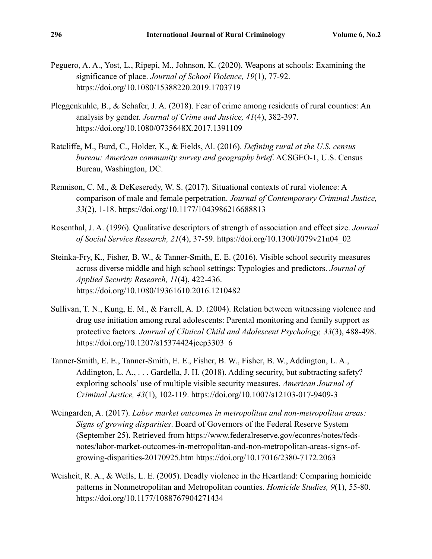- Peguero, A. A., Yost, L., Ripepi, M., Johnson, K. (2020). Weapons at schools: Examining the significance of place. *Journal of School Violence, 19*(1), 77-92. <https://doi.org/10.1080/15388220.2019.1703719>
- Pleggenkuhle, B., & Schafer, J. A. (2018). Fear of crime among residents of rural counties: An analysis by gender. *Journal of Crime and Justice, 41*(4), 382-397. <https://doi.org/10.1080/0735648X.2017.1391109>
- Ratcliffe, M., Burd, C., Holder, K., & Fields, Al. (2016). *Defining rural at the U.S. census bureau: American community survey and geography brief*. ACSGEO-1, U.S. Census Bureau, Washington, DC.
- Rennison, C. M., & DeKeseredy, W. S. (2017). Situational contexts of rural violence: A comparison of male and female perpetration. *Journal of Contemporary Criminal Justice, 33*(2), 1-18. <https://doi.org/10.1177/1043986216688813>
- Rosenthal, J. A. (1996). Qualitative descriptors of strength of association and effect size. *Journal of Social Service Research, 21*(4), 37-59. [https://doi.org/10.1300/J079v21n04\\_02](https://doi.org/10.1300/J079v21n04_02)
- Steinka-Fry, K., Fisher, B. W., & Tanner-Smith, E. E. (2016). Visible school security measures across diverse middle and high school settings: Typologies and predictors. *Journal of Applied Security Research, 11*(4), 422-436. <https://doi.org/10.1080/19361610.2016.1210482>
- Sullivan, T. N., Kung, E. M., & Farrell, A. D. (2004). Relation between witnessing violence and drug use initiation among rural adolescents: Parental monitoring and family support as protective factors. *Journal of Clinical Child and Adolescent Psychology, 33*(3), 488-498. [https://doi.org/10.1207/s15374424jccp3303\\_6](https://doi.org/10.1207/s15374424jccp3303_6)
- Tanner-Smith, E. E., Tanner-Smith, E. E., Fisher, B. W., Fisher, B. W., Addington, L. A., Addington, L. A., ... Gardella, J. H. (2018). Adding security, but subtracting safety? exploring schools' use of multiple visible security measures. *American Journal of Criminal Justice, 43*(1), 102-119. <https://doi.org/10.1007/s12103-017-9409-3>
- Weingarden, A. (2017). *Labor market outcomes in metropolitan and non-metropolitan areas: Signs of growing disparities*. Board of Governors of the Federal Reserve System (September 25). Retrieved from [https://www.federalreserve.gov/econres/notes/feds](https://www.federalreserve.gov/econres/notes/feds-notes/labor-market-outcomes-in-metropolitan-and-non-metropolitan-areas-signs-of-growing-disparities-20170925.htm)[notes/labor-market-outcomes-in-metropolitan-and-non-metropolitan-areas-signs-of](https://www.federalreserve.gov/econres/notes/feds-notes/labor-market-outcomes-in-metropolitan-and-non-metropolitan-areas-signs-of-growing-disparities-20170925.htm)[growing-disparities-20170925.htm](https://www.federalreserve.gov/econres/notes/feds-notes/labor-market-outcomes-in-metropolitan-and-non-metropolitan-areas-signs-of-growing-disparities-20170925.htm) <https://doi.org/10.17016/2380-7172.2063>
- Weisheit, R. A., & Wells, L. E. (2005). Deadly violence in the Heartland: Comparing homicide patterns in Nonmetropolitan and Metropolitan counties. *Homicide Studies, 9*(1), 55-80. <https://doi.org/10.1177/1088767904271434>